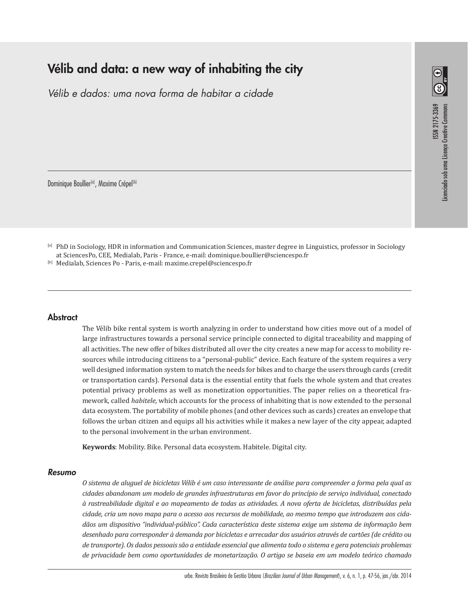# **Vélib and data: a new way of inhabiting the city**

*Vélib e dados: uma nova forma de habitar a cidade*

Dominique Boullier<sup>[a]</sup>, Maxime Crépel<sup>[b]</sup>

[a] PhD in Sociology, HDR in information and Communication Sciences, master degree in Linguistics, professor in Sociology at SciencesPo, CEE, Medialab, Paris - France, e-mail: dominique.boullier@sciencespo.fr

[b] Medialab, Sciences Po - Paris, e-mail: maxime.crepel@sciencespo.fr

## **Abstract**

The Vélib bike rental system is worth analyzing in order to understand how cities move out of a model of large infrastructures towards a personal service principle connected to digital traceability and mapping of all activities. The new offer of bikes distributed all over the city creates a new map for access to mobility resources while introducing citizens to a "personal-public" device. Each feature of the system requires a very well designed information system to match the needs for bikes and to charge the users through cards (credit or transportation cards). Personal data is the essential entity that fuels the whole system and that creates potential privacy problems as well as monetization opportunities. The paper relies on a theoretical framework, called *habitele*, which accounts for the process of inhabiting that is now extended to the personal data ecosystem. The portability of mobile phones (and other devices such as cards) creates an envelope that follows the urban citizen and equips all his activities while it makes a new layer of the city appear, adapted to the personal involvement in the urban environment.

**Keywords**: Mobility. Bike. Personal data ecosystem. Habitele. Digital city.

#### *Resumo*

*O sistema de aluguel de bicicletas Vélib é um caso interessante de análise para compreender a forma pela qual as cidades abandonam um modelo de grandes infraestruturas em favor do princípio de serviço individual, conectado à rastreabilidade digital e ao mapeamento de todas as atividades. A nova oferta de bicicletas, distribuídas pela cidade, cria um novo mapa para o acesso aos recursos de mobilidade, ao mesmo tempo que introduzem aos cidadãos um dispositivo "individual-público". Cada característica deste sistema exige um sistema de informação bem desenhado para corresponder à demanda por bicicletas e arrecadar dos usuários através de cartões (de crédito ou de transporte). Os dados pessoais são a entidade essencial que alimenta todo o sistema e gera potenciais problemas de privacidade bem como oportunidades de monetarização. O artigo se baseia em um modelo teórico chamado*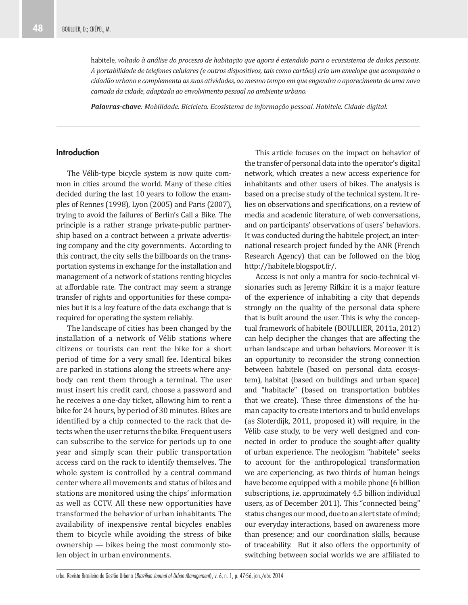habitele*, voltado à análise do processo de habitação que agora é estendido para o ecossistema de dados pessoais. A portabilidade de telefones celulares (e outros dispositivos, tais como cartões) cria um envelope que acompanha o cidadão urbano e complementa as suas atividades, ao mesmo tempo em que engendra o aparecimento de uma nova camada da cidade, adaptada ao envolvimento pessoal no ambiente urbano.* 

*Palavras-chave: Mobilidade. Bicicleta. Ecosistema de informação pessoal. Habitele. Cidade digital.*

# **Introduction**

The Vélib-type bicycle system is now quite common in cities around the world. Many of these cities decided during the last 10 years to follow the examples of Rennes (1998), Lyon (2005) and Paris (2007), trying to avoid the failures of Berlin's Call a Bike. The principle is a rather strange private-public partnership based on a contract between a private advertising company and the city governments. According to this contract, the city sells the billboards on the transportation systems in exchange for the installation and management of a network of stations renting bicycles at affordable rate. The contract may seem a strange transfer of rights and opportunities for these companies but it is a key feature of the data exchange that is required for operating the system reliably.

The landscape of cities has been changed by the installation of a network of Vélib stations where citizens or tourists can rent the bike for a short period of time for a very small fee. Identical bikes are parked in stations along the streets where anybody can rent them through a terminal. The user must insert his credit card, choose a password and he receives a one-day ticket, allowing him to rent a bike for 24 hours, by period of 30 minutes. Bikes are identified by a chip connected to the rack that detects when the user returns the bike. Frequent users can subscribe to the service for periods up to one year and simply scan their public transportation access card on the rack to identify themselves. The whole system is controlled by a central command center where all movements and status of bikes and stations are monitored using the chips' information as well as CCTV. All these new opportunities have transformed the behavior of urban inhabitants. The availability of inexpensive rental bicycles enables them to bicycle while avoiding the stress of bike ownership — bikes being the most commonly stolen object in urban environments.

This article focuses on the impact on behavior of the transfer of personal data into the operator's digital network, which creates a new access experience for inhabitants and other users of bikes. The analysis is based on a precise study of the technical system. It relies on observations and specifications, on a review of media and academic literature, of web conversations, and on participants' observations of users' behaviors. It was conducted during the habitele project, an international research project funded by the ANR (French Research Agency) that can be followed on the blog http://habitele.blogspot.fr/.

Access is not only a mantra for socio-technical visionaries such as Jeremy Rifkin: it is a major feature of the experience of inhabiting a city that depends strongly on the quality of the personal data sphere that is built around the user. This is why the conceptual framework of habitele (BOULLIER, 2011a, 2012) can help decipher the changes that are affecting the urban landscape and urban behaviors. Moreover it is an opportunity to reconsider the strong connection between habitele (based on personal data ecosystem), habitat (based on buildings and urban space) and "habitacle" (based on transportation bubbles that we create). These three dimensions of the human capacity to create interiors and to build envelops (as Sloterdijk, 2011, proposed it) will require, in the Vélib case study, to be very well designed and connected in order to produce the sought-after quality of urban experience. The neologism "habitele" seeks to account for the anthropological transformation we are experiencing, as two thirds of human beings have become equipped with a mobile phone (6 billion subscriptions, i.e. approximately 4.5 billion individual users, as of December 2011). This "connected being" status changes our mood, due to an alert state of mind; our everyday interactions, based on awareness more than presence; and our coordination skills, because of traceability. But it also offers the opportunity of switching between social worlds we are affiliated to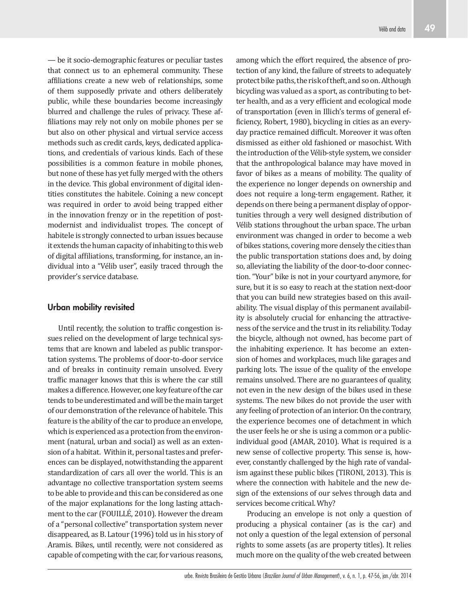— be it socio-demographic features or peculiar tastes that connect us to an ephemeral community. These affiliations create a new web of relationships, some of them supposedly private and others deliberately public, while these boundaries become increasingly blurred and challenge the rules of privacy. These affiliations may rely not only on mobile phones per se but also on other physical and virtual service access methods such as credit cards, keys, dedicated applications, and credentials of various kinds. Each of these possibilities is a common feature in mobile phones, but none of these has yet fully merged with the others in the device. This global environment of digital identities constitutes the habitele. Coining a new concept was required in order to avoid being trapped either in the innovation frenzy or in the repetition of postmodernist and individualist tropes. The concept of habitele is strongly connected to urban issues because it extends the human capacity of inhabiting to this web of digital affiliations, transforming, for instance, an individual into a "Vélib user", easily traced through the provider's service database.

#### **Urban mobility revisited**

Until recently, the solution to traffic congestion issues relied on the development of large technical systems that are known and labeled as public transportation systems. The problems of door-to-door service and of breaks in continuity remain unsolved. Every traffic manager knows that this is where the car still makes a difference. However, one key feature of the car tends to be underestimated and will be the main target of our demonstration of the relevance of habitele. This feature is the ability of the car to produce an envelope, which is experienced as a protection from the environment (natural, urban and social) as well as an extension of a habitat. Within it, personal tastes and preferences can be displayed, notwithstanding the apparent standardization of cars all over the world. This is an advantage no collective transportation system seems to be able to provide and this can be considered as one of the major explanations for the long lasting attachment to the car (FOUILLÉ, 2010). However the dream of a "personal collective" transportation system never disappeared, as B. Latour (1996) told us in his story of Aramis. Bikes, until recently, were not considered as capable of competing with the car, for various reasons, among which the effort required, the absence of protection of any kind, the failure of streets to adequately protect bike paths, the risk of theft, and so on. Although bicycling was valued as a sport, as contributing to better health, and as a very efficient and ecological mode of transportation (even in Illich's terms of general efficiency, Robert, 1980), bicycling in cities as an everyday practice remained difficult. Moreover it was often dismissed as either old fashioned or masochist. With the introduction of the Vélib-style system, we consider that the anthropological balance may have moved in favor of bikes as a means of mobility. The quality of the experience no longer depends on ownership and does not require a long-term engagement. Rather, it depends on there being a permanent display of opportunities through a very well designed distribution of Vélib stations throughout the urban space. The urban environment was changed in order to become a web of bikes stations, covering more densely the cities than the public transportation stations does and, by doing so, alleviating the liability of the door-to-door connection. "Your" bike is not in your courtyard anymore, for sure, but it is so easy to reach at the station next-door that you can build new strategies based on this availability. The visual display of this permanent availability is absolutely crucial for enhancing the attractiveness of the service and the trust in its reliability. Today the bicycle, although not owned, has become part of the inhabiting experience. It has become an extension of homes and workplaces, much like garages and parking lots. The issue of the quality of the envelope remains unsolved. There are no guarantees of quality, not even in the new design of the bikes used in these systems. The new bikes do not provide the user with any feeling of protection of an interior. On the contrary, the experience becomes one of detachment in which the user feels he or she is using a common or a publicindividual good (AMAR, 2010). What is required is a new sense of collective property. This sense is, however, constantly challenged by the high rate of vandalism against these public bikes (TIRONI, 2013). This is where the connection with habitele and the new design of the extensions of our selves through data and services become critical. Why?

Producing an envelope is not only a question of producing a physical container (as is the car) and not only a question of the legal extension of personal rights to some assets (as are property titles). It relies much more on the quality of the web created between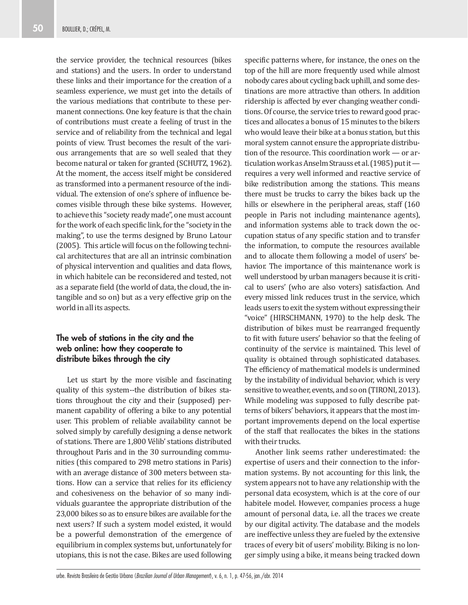the service provider, the technical resources (bikes and stations) and the users. In order to understand these links and their importance for the creation of a seamless experience, we must get into the details of the various mediations that contribute to these permanent connections. One key feature is that the chain of contributions must create a feeling of trust in the service and of reliability from the technical and legal points of view. Trust becomes the result of the various arrangements that are so well sealed that they become natural or taken for granted (SCHUTZ, 1962). At the moment, the access itself might be considered as transformed into a permanent resource of the individual. The extension of one's sphere of influence becomes visible through these bike systems. However, to achieve this "society ready made", one must account for the work of each specific link, for the "society in the making", to use the terms designed by Bruno Latour (2005). This article will focus on the following technical architectures that are all an intrinsic combination of physical intervention and qualities and data flows, in which habitele can be reconsidered and tested, not as a separate field (the world of data, the cloud, the intangible and so on) but as a very effective grip on the world in all its aspects.

# **The web of stations in the city and the web online: how they cooperate to distribute bikes through the city**

Let us start by the more visible and fascinating quality of this system--the distribution of bikes stations throughout the city and their (supposed) permanent capability of offering a bike to any potential user. This problem of reliable availability cannot be solved simply by carefully designing a dense network of stations. There are 1,800 Vélib' stations distributed throughout Paris and in the 30 surrounding communities (this compared to 298 metro stations in Paris) with an average distance of 300 meters between stations. How can a service that relies for its efficiency and cohesiveness on the behavior of so many individuals guarantee the appropriate distribution of the 23,000 bikes so as to ensure bikes are available for the next users? If such a system model existed, it would be a powerful demonstration of the emergence of equilibrium in complex systems but, unfortunately for utopians, this is not the case. Bikes are used following specific patterns where, for instance, the ones on the top of the hill are more frequently used while almost nobody cares about cycling back uphill, and some destinations are more attractive than others. In addition ridership is affected by ever changing weather conditions. Of course, the service tries to reward good practices and allocates a bonus of 15 minutes to the bikers who would leave their bike at a bonus station, but this moral system cannot ensure the appropriate distribution of the resource. This coordination work — or articulation work as Anselm Strauss et al. (1985) put it requires a very well informed and reactive service of bike redistribution among the stations. This means there must be trucks to carry the bikes back up the hills or elsewhere in the peripheral areas, staff (160) people in Paris not including maintenance agents), and information systems able to track down the occupation status of any specific station and to transfer the information, to compute the resources available and to allocate them following a model of users' behavior. The importance of this maintenance work is well understood by urban managers because it is critical to users' (who are also voters) satisfaction. And every missed link reduces trust in the service, which leads users to exit the system without expressing their "voice" (HIRSCHMANN, 1970) to the help desk. The distribution of bikes must be rearranged frequently to fit with future users' behavior so that the feeling of continuity of the service is maintained. This level of quality is obtained through sophisticated databases. The efficiency of mathematical models is undermined by the instability of individual behavior, which is very sensitive to weather, events, and so on (TIRONI, 2013). While modeling was supposed to fully describe patterns of bikers' behaviors, it appears that the most important improvements depend on the local expertise of the staff that reallocates the bikes in the stations with their trucks.

Another link seems rather underestimated: the expertise of users and their connection to the information systems. By not accounting for this link, the system appears not to have any relationship with the personal data ecosystem, which is at the core of our habitele model. However, companies process a huge amount of personal data, i.e. all the traces we create by our digital activity. The database and the models are ineffective unless they are fueled by the extensive traces of every bit of users' mobility. Biking is no longer simply using a bike, it means being tracked down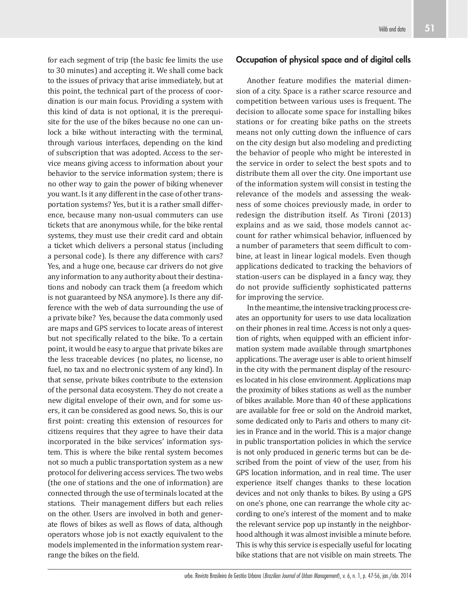for each segment of trip (the basic fee limits the use to 30 minutes) and accepting it. We shall come back to the issues of privacy that arise immediately, but at this point, the technical part of the process of coordination is our main focus. Providing a system with this kind of data is not optional, it is the prerequisite for the use of the bikes because no one can unlock a bike without interacting with the terminal, through various interfaces, depending on the kind of subscription that was adopted. Access to the service means giving access to information about your behavior to the service information system; there is no other way to gain the power of biking whenever you want. Is it any different in the case of other transportation systems? Yes, but it is a rather small difference, because many non-usual commuters can use tickets that are anonymous while, for the bike rental systems, they must use their credit card and obtain a ticket which delivers a personal status (including a personal code). Is there any difference with cars? Yes, and a huge one, because car drivers do not give any information to any authority about their destinations and nobody can track them (a freedom which is not guaranteed by NSA anymore). Is there any difference with the web of data surrounding the use of a private bike? Yes, because the data commonly used are maps and GPS services to locate areas of interest but not specifically related to the bike. To a certain point, it would be easy to argue that private bikes are the less traceable devices (no plates, no license, no fuel, no tax and no electronic system of any kind). In that sense, private bikes contribute to the extension of the personal data ecosystem. They do not create a new digital envelope of their own, and for some users, it can be considered as good news. So, this is our first point: creating this extension of resources for citizens requires that they agree to have their data incorporated in the bike services' information system. This is where the bike rental system becomes not so much a public transportation system as a new protocol for delivering access services. The two webs (the one of stations and the one of information) are connected through the use of terminals located at the stations. Their management differs but each relies on the other. Users are involved in both and generate flows of bikes as well as flows of data, although operators whose job is not exactly equivalent to the models implemented in the information system rearrange the bikes on the field.

# **Occupation of physical space and of digital cells**

Another feature modifies the material dimension of a city. Space is a rather scarce resource and competition between various uses is frequent. The decision to allocate some space for installing bikes stations or for creating bike paths on the streets means not only cutting down the influence of cars on the city design but also modeling and predicting the behavior of people who might be interested in the service in order to select the best spots and to distribute them all over the city. One important use of the information system will consist in testing the relevance of the models and assessing the weakness of some choices previously made, in order to redesign the distribution itself. As Tironi (2013) explains and as we said, those models cannot account for rather whimsical behavior, influenced by a number of parameters that seem difficult to combine, at least in linear logical models. Even though applications dedicated to tracking the behaviors of station-users can be displayed in a fancy way, they do not provide sufficiently sophisticated patterns for improving the service.

In the meantime, the intensive tracking process creates an opportunity for users to use data localization on their phones in real time. Access is not only a question of rights, when equipped with an efficient information system made available through smartphones applications. The average user is able to orient himself in the city with the permanent display of the resources located in his close environment. Applications map the proximity of bikes stations as well as the number of bikes available. More than 40 of these applications are available for free or sold on the Android market, some dedicated only to Paris and others to many cities in France and in the world. This is a major change in public transportation policies in which the service is not only produced in generic terms but can be described from the point of view of the user, from his GPS location information, and in real time. The user experience itself changes thanks to these location devices and not only thanks to bikes. By using a GPS on one's phone, one can rearrange the whole city according to one's interest of the moment and to make the relevant service pop up instantly in the neighborhood although it was almost invisible a minute before. This is why this service is especially useful for locating bike stations that are not visible on main streets. The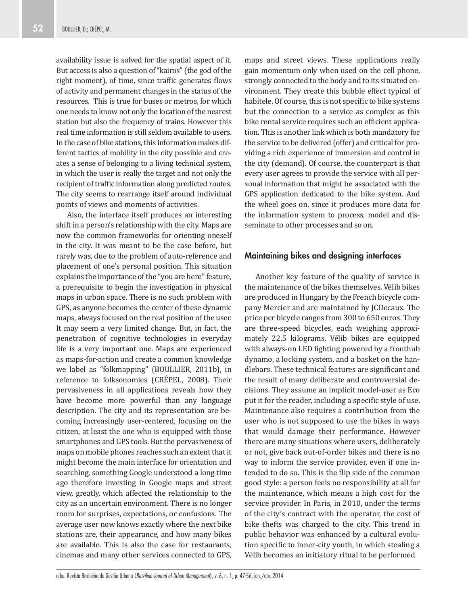availability issue is solved for the spatial aspect of it. But access is also a question of "kairos" (the god of the right moment), of time, since traffic generates flows of activity and permanent changes in the status of the resources. This is true for buses or metros, for which one needs to know not only the location of the nearest station but also the frequency of trains. However this real time information is still seldom available to users. In the case of bike stations, this information makes different tactics of mobility in the city possible and creates a sense of belonging to a living technical system, in which the user is really the target and not only the recipient of traffic information along predicted routes. The city seems to rearrange itself around individual points of views and moments of activities.

Also, the interface itself produces an interesting shift in a person's relationship with the city. Maps are now the common frameworks for orienting oneself in the city. It was meant to be the case before, but rarely was, due to the problem of auto-reference and placement of one's personal position. This situation explains the importance of the "you are here" feature, a prerequisite to begin the investigation in physical maps in urban space. There is no such problem with GPS, as anyone becomes the center of these dynamic maps, always focused on the real position of the user. It may seem a very limited change. But, in fact, the penetration of cognitive technologies in everyday life is a very important one. Maps are experienced as maps-for-action and create a common knowledge we label as "folkmapping" (BOULLIER, 2011b), in reference to folksonomies (CRÉPEL, 2008). Their pervasiveness in all applications reveals how they have become more powerful than any language description. The city and its representation are becoming increasingly user-centered, focusing on the citizen, at least the one who is equipped with those smartphones and GPS tools. But the pervasiveness of maps on mobile phones reaches such an extent that it might become the main interface for orientation and searching, something Google understood a long time ago therefore investing in Google maps and street view, greatly, which affected the relationship to the city as an uncertain environment. There is no longer room for surprises, expectations, or confusions. The average user now knows exactly where the next bike stations are, their appearance, and how many bikes are available. This is also the case for restaurants, cinemas and many other services connected to GPS, maps and street views. These applications really gain momentum only when used on the cell phone, strongly connected to the body and to its situated environment. They create this bubble effect typical of habitele. Of course, this is not specific to bike systems but the connection to a service as complex as this bike rental service requires such an efficient application. This is another link which is both mandatory for the service to be delivered (offer) and critical for providing a rich experience of immersion and control in the city (demand). Of course, the counterpart is that every user agrees to provide the service with all personal information that might be associated with the GPS application dedicated to the bike system. And the wheel goes on, since it produces more data for the information system to process, model and disseminate to other processes and so on.

#### **Maintaining bikes and designing interfaces**

Another key feature of the quality of service is the maintenance of the bikes themselves. Vélib bikes are produced in Hungary by the French bicycle company Mercier and are maintained by JCDecaux. The price per bicycle ranges from 300 to 650 euros. They are three-speed bicycles, each weighing approximately 22.5 kilograms. Vélib bikes are equipped with always-on LED lighting powered by a fronthub dynamo, a locking system, and a basket on the handlebars. These technical features are significant and the result of many deliberate and controversial decisions. They assume an implicit model-user as Eco put it for the reader, including a specific style of use. Maintenance also requires a contribution from the user who is not supposed to use the bikes in ways that would damage their performance. However there are many situations where users, deliberately or not, give back out-of-order bikes and there is no way to inform the service provider, even if one intended to do so. This is the flip side of the common good style: a person feels no responsibility at all for the maintenance, which means a high cost for the service provider. In Paris, in 2010, under the terms of the city's contract with the operator, the cost of bike thefts was charged to the city. This trend in public behavior was enhanced by a cultural evolution specific to inner-city youth, in which stealing a Vélib becomes an initiatory ritual to be performed.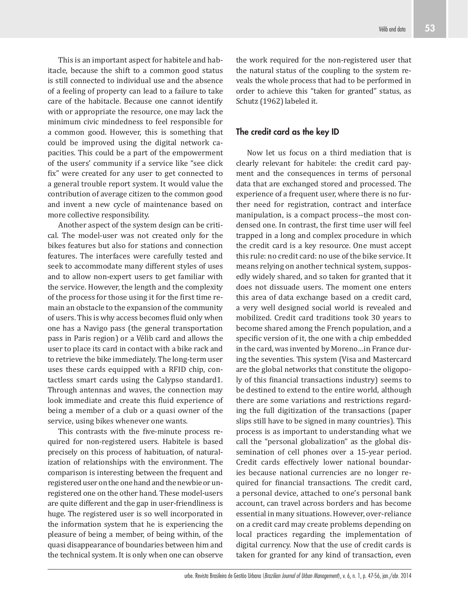This is an important aspect for habitele and habitacle, because the shift to a common good status is still connected to individual use and the absence of a feeling of property can lead to a failure to take care of the habitacle. Because one cannot identify with or appropriate the resource, one may lack the minimum civic mindedness to feel responsible for a common good. However, this is something that could be improved using the digital network capacities. This could be a part of the empowerment of the users' community if a service like "see click fix" were created for any user to get connected to a general trouble report system. It would value the contribution of average citizen to the common good and invent a new cycle of maintenance based on more collective responsibility.

Another aspect of the system design can be critical. The model-user was not created only for the bikes features but also for stations and connection features. The interfaces were carefully tested and seek to accommodate many different styles of uses and to allow non-expert users to get familiar with the service. However, the length and the complexity of the process for those using it for the first time remain an obstacle to the expansion of the community of users. This is why access becomes fluid only when one has a Navigo pass (the general transportation pass in Paris region) or a Vélib card and allows the user to place its card in contact with a bike rack and to retrieve the bike immediately. The long-term user uses these cards equipped with a RFID chip, contactless smart cards using the Calypso standard1. Through antennas and waves, the connection may look immediate and create this fluid experience of being a member of a club or a quasi owner of the service, using bikes whenever one wants.

This contrasts with the five-minute process required for non-registered users. Habitele is based precisely on this process of habituation, of naturalization of relationships with the environment. The comparison is interesting between the frequent and registered user on the one hand and the newbie or unregistered one on the other hand. These model-users are quite different and the gap in user-friendliness is huge. The registered user is so well incorporated in the information system that he is experiencing the pleasure of being a member, of being within, of the quasi disappearance of boundaries between him and the technical system. It is only when one can observe the work required for the non-registered user that the natural status of the coupling to the system reveals the whole process that had to be performed in order to achieve this "taken for granted" status, as Schutz (1962) labeled it.

# **The credit card as the key ID**

Now let us focus on a third mediation that is clearly relevant for habitele: the credit card payment and the consequences in terms of personal data that are exchanged stored and processed. The experience of a frequent user, where there is no further need for registration, contract and interface manipulation, is a compact process--the most condensed one. In contrast, the first time user will feel trapped in a long and complex procedure in which the credit card is a key resource. One must accept this rule: no credit card: no use of the bike service. It means relying on another technical system, supposedly widely shared, and so taken for granted that it does not dissuade users. The moment one enters this area of data exchange based on a credit card, a very well designed social world is revealed and mobilized. Credit card traditions took 30 years to become shared among the French population, and a specific version of it, the one with a chip embedded in the card, was invented by Moreno…in France during the seventies. This system (Visa and Mastercard are the global networks that constitute the oligopoly of this financial transactions industry) seems to be destined to extend to the entire world, although there are some variations and restrictions regarding the full digitization of the transactions (paper slips still have to be signed in many countries). This process is as important to understanding what we call the "personal globalization" as the global dissemination of cell phones over a 15-year period. Credit cards effectively lower national boundaries because national currencies are no longer required for financial transactions. The credit card, a personal device, attached to one's personal bank account, can travel across borders and has become essential in many situations. However, over-reliance on a credit card may create problems depending on local practices regarding the implementation of digital currency. Now that the use of credit cards is taken for granted for any kind of transaction, even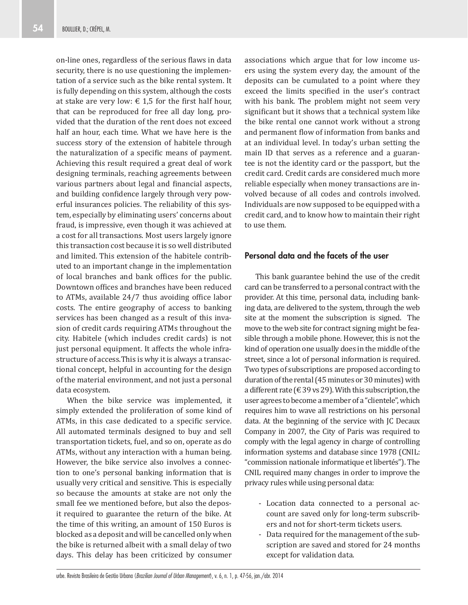on-line ones, regardless of the serious flaws in data security, there is no use questioning the implementation of a service such as the bike rental system. It is fully depending on this system, although the costs at stake are very low:  $\epsilon$  1,5 for the first half hour, that can be reproduced for free all day long, provided that the duration of the rent does not exceed half an hour, each time. What we have here is the success story of the extension of habitele through the naturalization of a specific means of payment. Achieving this result required a great deal of work designing terminals, reaching agreements between various partners about legal and financial aspects, and building confidence largely through very powerful insurances policies. The reliability of this system, especially by eliminating users' concerns about fraud, is impressive, even though it was achieved at a cost for all transactions. Most users largely ignore this transaction cost because it is so well distributed and limited. This extension of the habitele contributed to an important change in the implementation of local branches and bank offices for the public. Downtown offices and branches have been reduced to ATMs, available 24/7 thus avoiding office labor costs. The entire geography of access to banking services has been changed as a result of this invasion of credit cards requiring ATMs throughout the city. Habitele (which includes credit cards) is not just personal equipment. It affects the whole infrastructure of access.This is why it is always a transactional concept, helpful in accounting for the design of the material environment, and not just a personal data ecosystem.

When the bike service was implemented, it simply extended the proliferation of some kind of ATMs, in this case dedicated to a specific service. All automated terminals designed to buy and sell transportation tickets, fuel, and so on, operate as do ATMs, without any interaction with a human being. However, the bike service also involves a connection to one's personal banking information that is usually very critical and sensitive. This is especially so because the amounts at stake are not only the small fee we mentioned before, but also the deposit required to guarantee the return of the bike. At the time of this writing, an amount of 150 Euros is blocked as a deposit and will be cancelled only when the bike is returned albeit with a small delay of two days. This delay has been criticized by consumer associations which argue that for low income users using the system every day, the amount of the deposits can be cumulated to a point where they exceed the limits specified in the user's contract with his bank. The problem might not seem very significant but it shows that a technical system like the bike rental one cannot work without a strong and permanent flow of information from banks and at an individual level. In today's urban setting the main ID that serves as a reference and a guarantee is not the identity card or the passport, but the credit card. Credit cards are considered much more reliable especially when money transactions are involved because of all codes and controls involved. Individuals are now supposed to be equipped with a credit card, and to know how to maintain their right to use them.

# **Personal data and the facets of the user**

This bank guarantee behind the use of the credit card can be transferred to a personal contract with the provider. At this time, personal data, including banking data, are delivered to the system, through the web site at the moment the subscription is signed. The move to the web site for contract signing might be feasible through a mobile phone. However, this is not the kind of operation one usually does in the middle of the street, since a lot of personal information is required. Two types of subscriptions are proposed according to duration of the rental (45 minutes or 30 minutes) with a different rate ( $\text{\large\ensuremath{\in}} 39$  vs 29). With this subscription, the user agrees to become a member of a "clientele", which requires him to wave all restrictions on his personal data. At the beginning of the service with JC Decaux Company in 2007, the City of Paris was required to comply with the legal agency in charge of controlling information systems and database since 1978 (CNIL: "commission nationale informatique et libertés"). The CNIL required many changes in order to improve the privacy rules while using personal data:

- Location data connected to a personal account are saved only for long-term subscribers and not for short-term tickets users.
- Data required for the management of the subscription are saved and stored for 24 months except for validation data.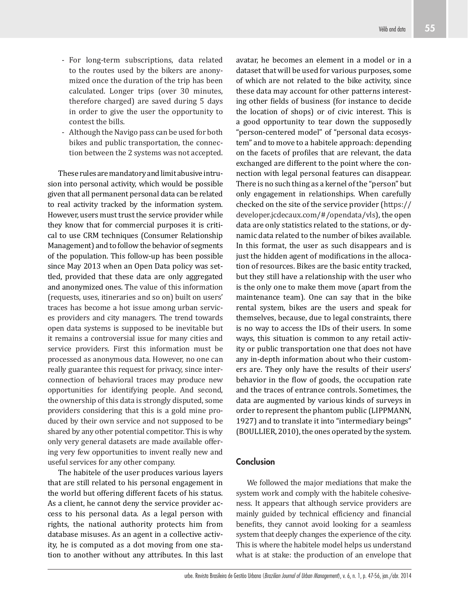- For long-term subscriptions, data related to the routes used by the bikers are anonymized once the duration of the trip has been calculated. Longer trips (over 30 minutes, therefore charged) are saved during 5 days in order to give the user the opportunity to contest the bills.
- Although the Navigo pass can be used for both bikes and public transportation, the connection between the 2 systems was not accepted.

These rules are mandatory and limit abusive intrusion into personal activity, which would be possible given that all permanent personal data can be related to real activity tracked by the information system. However, users must trust the service provider while they know that for commercial purposes it is critical to use CRM techniques (Consumer Relationship Management) and to follow the behavior of segments of the population. This follow-up has been possible since May 2013 when an Open Data policy was settled, provided that these data are only aggregated and anonymized ones. The value of this information (requests, uses, itineraries and so on) built on users' traces has become a hot issue among urban services providers and city managers. The trend towards open data systems is supposed to be inevitable but it remains a controversial issue for many cities and service providers. First this information must be processed as anonymous data. However, no one can really guarantee this request for privacy, since interconnection of behavioral traces may produce new opportunities for identifying people. And second, the ownership of this data is strongly disputed, some providers considering that this is a gold mine produced by their own service and not supposed to be shared by any other potential competitor. This is why only very general datasets are made available offering very few opportunities to invent really new and useful services for any other company.

The habitele of the user produces various layers that are still related to his personal engagement in the world but offering different facets of his status. As a client, he cannot deny the service provider access to his personal data. As a legal person with rights, the national authority protects him from database misuses. As an agent in a collective activity, he is computed as a dot moving from one station to another without any attributes. In this last

avatar, he becomes an element in a model or in a dataset that will be used for various purposes, some of which are not related to the bike activity, since these data may account for other patterns interesting other fields of business (for instance to decide the location of shops) or of civic interest. This is a good opportunity to tear down the supposedly "person-centered model" of "personal data ecosystem" and to move to a habitele approach: depending on the facets of profiles that are relevant, the data exchanged are different to the point where the connection with legal personal features can disappear. There is no such thing as a kernel of the "person" but only engagement in relationships. When carefully checked on the site of the service provider (https:// developer.jcdecaux.com/#/opendata/vls), the open data are only statistics related to the stations, or dynamic data related to the number of bikes available. In this format, the user as such disappears and is just the hidden agent of modifications in the allocation of resources. Bikes are the basic entity tracked, but they still have a relationship with the user who is the only one to make them move (apart from the maintenance team). One can say that in the bike rental system, bikes are the users and speak for themselves, because, due to legal constraints, there is no way to access the IDs of their users. In some ways, this situation is common to any retail activity or public transportation one that does not have any in-depth information about who their customers are. They only have the results of their users' behavior in the flow of goods, the occupation rate and the traces of entrance controls. Sometimes, the data are augmented by various kinds of surveys in order to represent the phantom public (LIPPMANN, 1927) and to translate it into "intermediary beings" (BOULLIER, 2010), the ones operated by the system.

## **Conclusion**

We followed the major mediations that make the system work and comply with the habitele cohesiveness. It appears that although service providers are mainly guided by technical efficiency and financial benefits, they cannot avoid looking for a seamless system that deeply changes the experience of the city. This is where the habitele model helps us understand what is at stake: the production of an envelope that